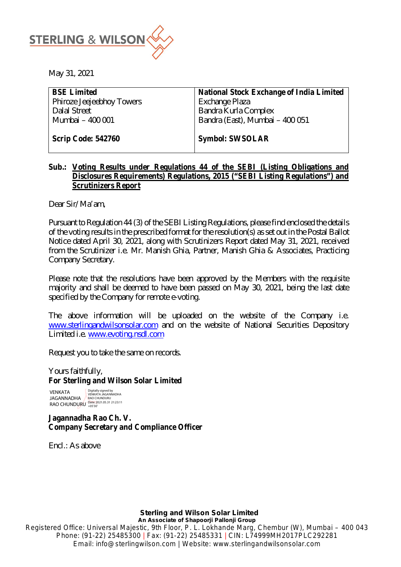

May 31, 2021

| <b>BSE Limited</b>        | <b>National Stock Exchange of India Limited</b> |
|---------------------------|-------------------------------------------------|
| Phiroze Jeejeebhoy Towers | Exchange Plaza                                  |
| Dalal Street              | <b>Bandra Kurla Complex</b>                     |
| Mumbai - 400 001          | Bandra (East), Mumbai - 400 051                 |
|                           |                                                 |
| Scrip Code: 542760        | <b>Symbol: SWSOLAR</b>                          |

# **Sub.: Voting Results under Regulations 44 of the SEBI (Listing Obligations and Disclosures Requirements) Regulations, 2015 ("SEBI Listing Regulations") and Scrutinizers Report**

Dear Sir/ Ma'am,

Pursuant to Regulation 44 (3) of the SEBI Listing Regulations, please find enclosed the details of the voting results in the prescribed format for the resolution(s) as set out in the Postal Ballot Notice dated April 30, 2021, along with Scrutinizers Report dated May 31, 2021, received from the Scrutinizer i.e. Mr. Manish Ghia, Partner, Manish Ghia & Associates, Practicing Company Secretary.

Please note that the resolutions have been approved by the Members with the requisite majority and shall be deemed to have been passed on May 30, 2021, being the last date specified by the Company for remote e-voting.

The above information will be uploaded on the website of the Company i.e. [www.sterlingandwilsonsolar.com](http://www.sterlingandwilsonsolar.com) and on the website of National Securities Depository Limited i.e. [www.evoting.nsdl.com](http://www.evoting.nsdl.com)

Request you to take the same on records.

Yours faithfully, **For Sterling and Wilson Solar Limited** 

**VENKATA** JAGANNADHA JAGANNADHA / `RAO CHUNDURU<br>RAO CHUNDURU <sup>-Date:</sup>2021.05.31 21:23:11 Digitally signed by<br>VENKATA JAGANNADHA

**Jagannadha Rao Ch. V. Company Secretary and Compliance Officer** 

Encl.: As above

**Sterling and Wilson Solar Limited An Associate of Shapoorji Pallonji Group**

Registered Office: Universal Majestic, 9th Floor, P. L. Lokhande Marg, Chembur (W), Mumbai – 400 043 Phone: (91-22) 25485300 | Fax: (91-22) 25485331 | CIN: L74999MH2017PLC292281 Email: [info@sterlingwilson.com](mailto:info@sterlingwilson.com) | Website: [www.sterlingandwilsonsolar.com](http://www.sterlingandwilsonsolar.com)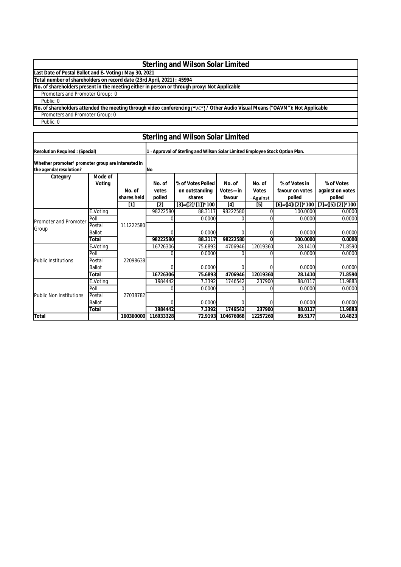# **Sterling and Wilson Solar Limited**

**Last Date of Postal Ballot and E Voting : May 30, 2021**

**Total number of shareholders on record date (23rd April, 2021) : 45994**

**No. of shareholders present in the meeting either in person or through proxy: Not Applicable**

#### Public: 0 Promoters and Promoter Group: 0

No. of shareholders attended the meeting through video conferencing ("VC") / Other Audio Visual Means ("OAVM"): Not Applicable

Promoters and Promoter Group: 0

Public: 0

|                                                                              | <b>Sterling and Wilson Solar Limited</b> |                       |                                                                               |                               |                        |                 |                           |                            |
|------------------------------------------------------------------------------|------------------------------------------|-----------------------|-------------------------------------------------------------------------------|-------------------------------|------------------------|-----------------|---------------------------|----------------------------|
| <b>Resolution Required: (Special)</b>                                        |                                          |                       | 1 - Approval of Sterling and Wilson Solar Limited Employee Stock Option Plan. |                               |                        |                 |                           |                            |
| Whether promoter/ promoter group are interested in<br>the agenda/resolution? |                                          |                       | <b>INo</b>                                                                    |                               |                        |                 |                           |                            |
| Category                                                                     | Mode of                                  |                       |                                                                               |                               |                        |                 |                           |                            |
|                                                                              | Voting                                   |                       | No. of                                                                        | % of Votes Polled             | No. of                 | No. of          | % of Votes in             | % of Votes                 |
|                                                                              |                                          | No. of<br>shares held | votes<br>polled                                                               | on outstanding<br>shares      | $Votes - in$<br>favour | <b>Votes</b>    | favour on votes<br>polled | against on votes<br>polled |
|                                                                              |                                          | $[1]$                 | [2]                                                                           | $[3] = \{ [2] / [1] \}$ * 100 | [4]                    | -Against<br>[5] | [6]={[4]/[2]}*100         | $[7] = {[5]/[2]}$ *100     |
|                                                                              | E-Votina                                 |                       | 98222580                                                                      | 88.3117                       | 98222580               |                 | 100.0000                  | 0.0000                     |
|                                                                              | Poll                                     | 111222580             |                                                                               | 0.0000                        |                        |                 | 0.0000                    | 0.0000                     |
| Promoter and Promoter                                                        | Postal                                   |                       |                                                                               |                               |                        |                 |                           |                            |
| Group                                                                        | <b>Ballot</b>                            |                       |                                                                               | 0.0000                        | 0                      |                 | 0.0000                    | 0.0000                     |
|                                                                              | <b>Total</b>                             |                       | 98222580                                                                      | 88.3117                       | 98222580               | 0               | 100.0000                  | 0.0000                     |
|                                                                              | E-Votina                                 |                       | 16726306                                                                      | 75.6893                       | 4706946                | 12019360        | 28.1410                   | 71.8590                    |
|                                                                              | Poll                                     |                       |                                                                               | 0.0000                        | U                      |                 | 0.0000                    | 0.0000                     |
| <b>Public Institutions</b>                                                   | Postal                                   | 22098638              |                                                                               |                               |                        |                 |                           |                            |
|                                                                              | <b>Ballot</b>                            |                       |                                                                               | 0.0000                        | 0                      |                 | 0.0000                    | 0.0000                     |
|                                                                              | <b>Total</b>                             |                       | 16726306                                                                      | 75.6893                       | 4706946                | 12019360        | 28.1410                   | 71.8590                    |
|                                                                              | E-Voting                                 |                       | 1984442                                                                       | 7.3392                        | 1746542                | 237900          | 88.0117                   | 11.9883                    |
| <b>Public Non Institutions</b>                                               | Poll                                     |                       |                                                                               | 0.0000                        | 0                      |                 | 0.0000                    | 0.0000                     |
|                                                                              | Postal                                   | 27038782              |                                                                               |                               |                        |                 |                           |                            |
|                                                                              | <b>Ballot</b>                            |                       |                                                                               | 0.0000                        | 0                      |                 | 0.0000                    | 0.0000                     |
|                                                                              | Total                                    |                       | 1984442                                                                       | 7.3392                        | 1746542                | 237900          | 88.0117                   | 11.9883                    |
| <b>Total</b>                                                                 |                                          | 160360000             | 116933328                                                                     | 72.9193                       | 104676068              | 12257260        | 89.5177                   | 10.4823                    |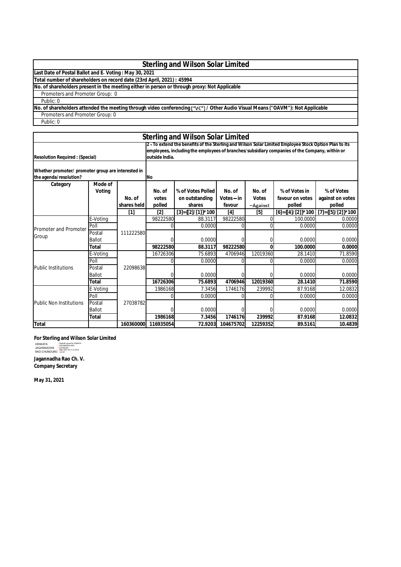# **Sterling and Wilson Solar Limited**

**Last Date of Postal Ballot and E Voting : May 30, 2021**

**Total number of shareholders on record date (23rd April, 2021) : 45994**

**No. of shareholders present in the meeting either in person or through proxy: Not Applicable**

Promoters and Promoter Group: 0

Public: 0

No. of shareholders attended the meeting through video conferencing ("VC") / Other Audio Visual Means ("OAVM"): Not Applicable

Promoters and Promoter Group: 0

Public: 0

|                                                                              |                   |                       |                           | <b>Sterling and Wilson Solar Limited</b>                                                                                                                                                               |                                |                                    |                                            |                                          |
|------------------------------------------------------------------------------|-------------------|-----------------------|---------------------------|--------------------------------------------------------------------------------------------------------------------------------------------------------------------------------------------------------|--------------------------------|------------------------------------|--------------------------------------------|------------------------------------------|
| <b>Resolution Required: (Special)</b>                                        |                   |                       | outside India.            | 2 - To extend the benefits of the Sterling and Wilson Solar Limited Employee Stock Option Plan to its<br>employees, including the employees of branches/subsidiary companies of the Company, within or |                                |                                    |                                            |                                          |
| Whether promoter/ promoter group are interested in<br>the agenda/resolution? |                   |                       | <b>INo</b>                |                                                                                                                                                                                                        |                                |                                    |                                            |                                          |
| Category                                                                     | Mode of<br>Voting | No. of<br>shares held | No. of<br>votes<br>polled | % of Votes Polled<br>on outstanding<br>shares                                                                                                                                                          | No. of<br>Votes – in<br>favour | No. of<br><b>Votes</b><br>-Against | % of Votes in<br>favour on votes<br>polled | % of Votes<br>against on votes<br>polled |
|                                                                              |                   | $[1]$                 | $[2]$                     | $[3] = \{ [2] / [1] \}$ * 100                                                                                                                                                                          | [4]                            | $[5]$                              | $[6] = \{ [4] / [2] \}$ * 100              | [7]={[5]/[2]}*100                        |
|                                                                              | E-Votina          |                       | 98222580                  | 88.3117                                                                                                                                                                                                | 98222580                       | 0                                  | 100.0000                                   | 0.0000                                   |
| Promoter and Promoter                                                        | Poll              |                       |                           | 0.0000                                                                                                                                                                                                 |                                |                                    | 0.0000                                     | 0.0000                                   |
| Group                                                                        | Postal            | 111222580             |                           |                                                                                                                                                                                                        |                                |                                    |                                            |                                          |
|                                                                              | <b>Ballot</b>     |                       |                           | 0.0000                                                                                                                                                                                                 |                                | 0                                  | 0.0000                                     | 0.0000                                   |
|                                                                              | Total             |                       | 98222580                  | 88.3117                                                                                                                                                                                                | 98222580                       | U                                  | 100.0000                                   | 0.0000                                   |
|                                                                              | E-Voting          |                       | 16726306                  | 75.6893                                                                                                                                                                                                | 4706946                        | 12019360                           | 28.1410                                    | 71.8590                                  |
|                                                                              | Poll              |                       |                           | 0.0000                                                                                                                                                                                                 |                                |                                    | 0.0000                                     | 0.0000                                   |
| <b>Public Institutions</b>                                                   | Postal            | 22098638              |                           |                                                                                                                                                                                                        |                                |                                    |                                            |                                          |
|                                                                              | <b>Ballot</b>     |                       |                           | 0.0000                                                                                                                                                                                                 |                                |                                    | 0.0000                                     | 0.0000                                   |
|                                                                              | Total             |                       | 16726306                  | 75.6893                                                                                                                                                                                                | 4706946                        | 12019360                           | 28.1410                                    | 71.8590                                  |
|                                                                              | E-Voting          |                       | 1986168                   | 7.3456                                                                                                                                                                                                 | 1746176                        | 239992                             | 87.9168                                    | 12.0832                                  |
| <b>Public Non Institutions</b>                                               | Poll              |                       |                           | 0.0000                                                                                                                                                                                                 |                                | U                                  | 0.0000                                     | 0.0000                                   |
|                                                                              | Postal            | 27038782              |                           |                                                                                                                                                                                                        |                                |                                    |                                            |                                          |
|                                                                              | <b>Ballot</b>     |                       |                           | 0.0000                                                                                                                                                                                                 |                                | U                                  | 0.0000                                     | 0.0000                                   |
|                                                                              | <b>Total</b>      |                       | 1986168                   | 7.3456                                                                                                                                                                                                 | 1746176                        | 239992                             | 87.9168                                    | 12.0832                                  |
| <b>Total</b>                                                                 |                   | 160360000             | 116935054                 | 72.9203                                                                                                                                                                                                | 104675702                      | 12259352                           | 89.5161                                    | 10.4839                                  |

#### **For Sterling and Wilson Solar Limited**

VENKATA<br>JAGANNADHA<br>RAO CHUNDURU Digitally signed by VENKATA<br>JAGANNADHA RAO<br>CHUNDURU<br>Date: 2021.05.31 21:20:34<br>+05'30'

**Jagannadha Rao Ch. V. Company Secretary**

**May 31, 2021**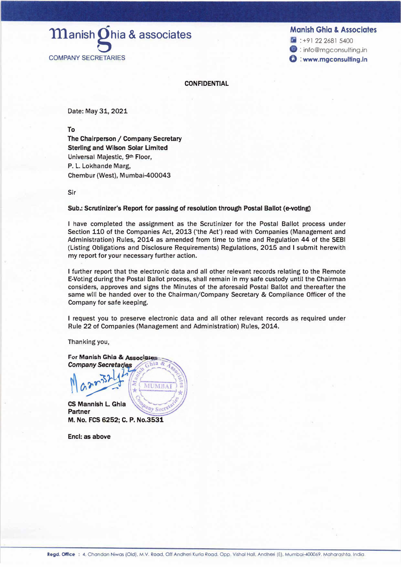**Manish Ghia & Associates** 

1 :+91 22 2681 5400 **<sup>3</sup>**: info@mgconsulting.in **t) : www.mgconsulting.in**

 $\mathbf m$ anish $\mathbf 0$ hia & associates COMPANY SECRETARIES

**CONFIDENTIAL** 

Date: May 31, 2021

**To** 

**The Chairperson/ Company Secretary Sterling and Wilson Solar Limited**  Universal Majestic, 9**th** Floor, P. L. Lokhande Marg, Chembur (West), Mumbai-400043

Sir

#### **Sub.: Scrutinizer's Report for passing of resolution through Postal Ballot (e-votlng)**

I have completed the assignment as the Scrutinizer for the Postal Ballot process under Section 110 of the Companies Act, 2013 ('the Act') read with Companies (Management and Administration) Rules, 2014 as amended from time to time and Regulation 44 of the SEBI (Listing Obligations and Disclosure Requirements) Regulations, 2015 and I submit herewith my report for your necessary further action.

I further report that the electronic data and all other relevant records relating to the Remote E-Voting during the Postal Ballot process, shall remain in my safe custody until the Chairman considers, approves and signs the Minutes of the aforesaid Postal Ballot and thereafter the same will be handed over to the Chairman/Company Secretary & Compliance Officer of the Company for safe keeping.

I request you to preserve electronic data and all other relevant records as required under Rule 22 of Companies (Management and Administration) Rules, 2014.

Thanking you,

**For Manish Ghia & Associates Company Secretaries** MUMBA  $\mathcal{L}$ 

**CS Mannish L Ghia Partner M. No. FCS 6252; C. P. No.3531**

**Encl: as above**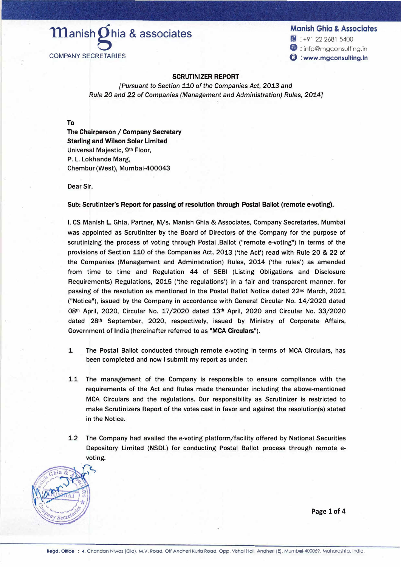# **Manish Ohia & associates** COMPANY SECRETARIES

# **Manish Ghia & Associates**

**fa** : +91 22 2681 5400 **9** : info@mgconsulting.in @ : **www.mgconsultlng.ln**

## **SCRUTINIZER REPORT**

*[Pursuant to Section* 110 of *the Companies Act, 2013 and Rule 20 and 22* of *Companies (Management and Administration) Rules, 2014]*

To

The **Chairperson/ Company Secretary Sterling and WIison Solar Limited**  Universal Majestic, 91h Floor, P. L. Lokhande Marg, Chembur (West), Mumbai-400043

Dear Sir,

**Sub: Scrutinizer's Report for passing of resolution through Postal Ballot (remote e-votlng).** 

I, CS Manish L. Ghia, Partner, M/s. Manish Ghia & Associates, Company Secretaries, Mumbai was appointed as Scrutinizer by the Board of Directors of the Company for the purpose of scrutinizing the process of voting through Postal Ballot ("remote e-voting") in terms of the provisions of Section 110 of the Companies Act, 2013 ('the Act') read with Rule 20 & 22 of the Companies (Management and Administration) Rules, 2014 ('the rules') as amended from time to time and Regulation 44 of SEBI (Listing Obligations and Disclosure Requirements) Regulations, 2015 ('the regulations') in a fair and transparent manner, for passing of the resolution as mentioned In the Postal Ballot Notice dated 22**nd** March, 2021 ("Notice"), issued by the Company in accordance with General Circular No. 14/2020 dated 08th April, 2020, Circular No. 17/2020 dated 13th April, 2020 and Circular No. 33/2020 dated 28th September, 2020, respectively, issued by Ministry of Corporate Affairs, Government of India (hereinafter referred to as "MCA Circulars").

- 1. The Postal Ballot conducted through remote e-voting in terms of MCA Circulars, has been completed and now I submit my report as under:
- 1.1 The management of the Company is responsible to ensure compliance with the requirements of the Act and Rules made thereunder including the above-mentioned MCA Circulars and the regulations. Our responsibility as Scrutinizer is restricted to make Scrutinizers Report of the votes cast in favor and against the resolution(s) stated in the Notice.
- 1.2 The Company had availed the e-voting platform/facility offered by National Securities Depository Limited (NSDL) for conducting Postal Ballot process through remote evoting.



**Page 1 of 4**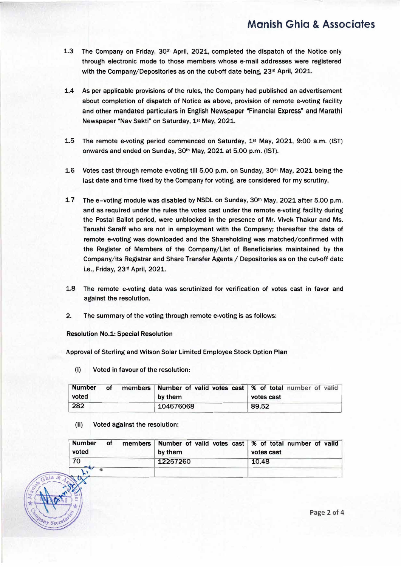- **1.3 The Company on Friday, 30th April, 2021, completed the dispatch of the Notice only through electronic mode to those members whose e-mail addresses were registered with the Company/Depositories as on the cut-off date being, 23**rd **April, 2021.**
- **1.4 As per applicable provisions of the rules, the Company had published an advertisement about completion of dispatch of Notice as above, provision of remote e-voting facility and other mandated particulars in English Newspaper "Financial Express" and Marathi Newspaper "Nav Sakti" on Saturday, 1st May, 2021.**
- **1.5 The remote e-voting period commenced on Saturday, 1st May, 2021, 9:00 a.m. (1ST} onwards and ended on Sunday, 30th May, 2021 at 5.00 p.m. (1ST).**
- **1.6 Votes cast through remote e-vottng till 5.00 p.m. on Sunday, 30th May, 2021 being the last date and time fixed by the Company for voting, are considered for my scrutiny.**
- **1.7 The e-voting module was disabled by NSDL on Sunday, 30th May, 2021 after 5.00 p.m. and as required under the rules the votes cast under the remote e-voting facility during the Postal Ballot period, were unblocked in the presence of Mr. Vivek Thakur and Ms. Tarushi Saraff who are not in employment with the Company; thereafter the data of remote e-voting was downloaded and the Shareholding was matched/confirmed with the Register of Members of the Company/List of Beneficiaries maintained by the Company/its Registrar and Share Transfer Agents / Depositories as on the cut-off date i.e., Friday, 23**rd **April, 2021.**
- **1.8 The remote e-voting data was scrutinized for verification of votes cast in favor and against the resolution.**
- **2. The summary of the voting through remote e-voting is as follows:**

**Resolution No.1: Special Resolution** 

**Approval of Sterling and Wilson Solar Limited Employee Stock Option Plan** 

(i) **Voted in favour of the resolution:**

| <b>Number</b> | οf | members Number of valid votes cast   % of total number of valid |            |
|---------------|----|-----------------------------------------------------------------|------------|
| voted         |    | by them                                                         | votes cast |
| 282           |    | 104676068                                                       | 89.52      |

**(ii) Voted against the resolution:**

| <b>Number</b><br>οf<br>voted | members Number of valid votes cast   % of total number of valid<br>by them | votes cast |
|------------------------------|----------------------------------------------------------------------------|------------|
| 70                           | 12257260                                                                   | 10.48      |
|                              |                                                                            |            |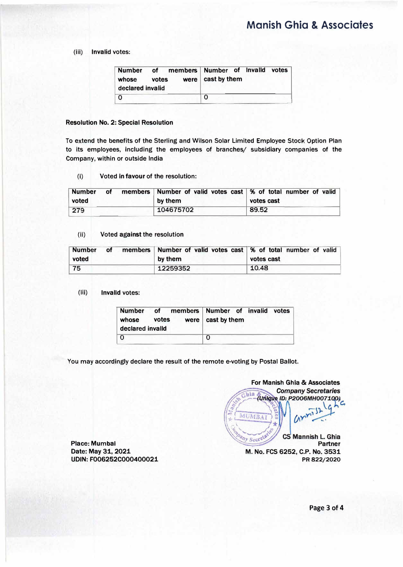# **Mcnish Ghio & Associates**

#### **( iii) Invalid votes:**

| <b>Number</b><br>whose<br>declared invalid | votes | of members Number of Invalld votes | were   cast by them |  |  |
|--------------------------------------------|-------|------------------------------------|---------------------|--|--|
|                                            |       |                                    | O                   |  |  |

### **Resolution No. 2: Special Resolution**

**To extend the benefits of the Sterling and Wilson Solar Limited Employee Stock Option Plan to its employees, including the employees of branches/ subsidiary companies of the Company, within or outside India** 

(I) **Voted In favour of the resolution:**

| <b>Number</b><br>voted | οf | members   Number of valid votes cast   % of total number of valid<br>by them | votes cast |
|------------------------|----|------------------------------------------------------------------------------|------------|
| 279                    |    | 104675702                                                                    | 89.52      |

#### (ii) **Voted against the resolution**

| <b>Number</b> | οf | members Number of valid votes cast \% of total number of valid |            |
|---------------|----|----------------------------------------------------------------|------------|
| voted         |    | by them                                                        | votes cast |
| 75            |    | 12259352                                                       | 10.48      |

#### (Iii) **Invalid votes:**

| declared invalld | whose votes | Number of members Number of invalid votes<br>were $\vert$ cast by them |
|------------------|-------------|------------------------------------------------------------------------|
|                  |             |                                                                        |

**You may accordingly declare the result of the remote e-voting by Postal Ballot.** 

**For Manish Ghia & Associates Company Secretaries**  $chia$ Unique ID: P2006MH007100) Z. MUMBAI CS Mannish L. Ghia Pany Secreta **Partner M. No. FCS 6252, C.P. No. 3531 PR822/2020** 

**Place: Mumbai Date: May 31, 2021 UDIN: F006252C000400021**